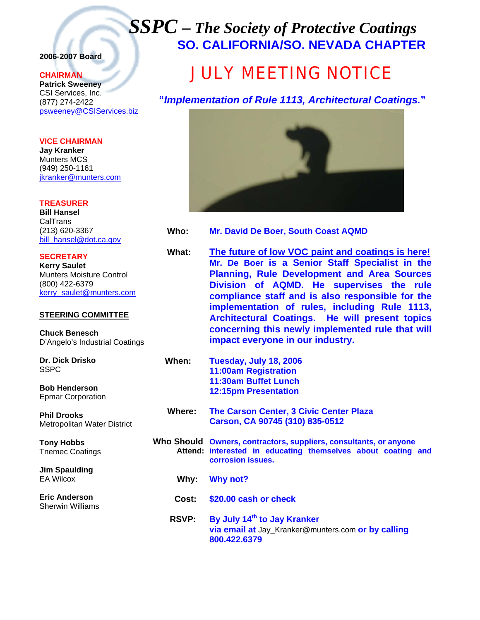## *SSPC – The Society of Protective Coatings* **SO. CALIFORNIA/SO. NEVADA CHAPTER**

#### **2006-2007 Board**

#### **CHAIRMAN**

**Patrick Sweeney** CSI Services, Inc. (877) 274-2422 psweeney@CSIServices.biz

**VICE CHAIRMAN Jay Kranker** Munters MCS (949) 250-1161 jkranker@munters.com

**TREASURER Bill Hansel** CalTrans (213) 620-3367 bill\_hansel@dot.ca.gov

**SECRETARY Kerry Saulet** Munters Moisture Control (800) 422-6379 kerry\_saulet@munters.com

#### **STEERING COMMITTEE**

**Chuck Benesch**  D'Angelo's Industrial Coatings

**Dr. Dick Drisko SSPC** 

**Bob Henderson**  Epmar Corporation

**Phil Drooks**  Metropolitan Water District

**Tony Hobbs**  Tnemec Coatings

**Jim Spaulding**  EA Wilcox

**Eric Anderson**  Sherwin Williams

# JULY MEETING NOTICE

**"***Implementation of Rule 1113, Architectural Coatings.***"**



**Who: Mr. David De Boer, South Coast AQMD**

**What: The future of low VOC paint and coatings is here! Mr. De Boer is a Senior Staff Specialist in the Planning, Rule Development and Area Sources Division of AQMD. He supervises the rule compliance staff and is also responsible for the implementation of rules, including Rule 1113, Architectural Coatings. He will present topics concerning this newly implemented rule that will impact everyone in our industry.** 

 **When: Tuesday, July 18, 2006 11:00am Registration 11:30am Buffet Lunch 12:15pm Presentation** 

- **Where: The Carson Center, 3 Civic Center Plaza Carson, CA 90745 (310) 835-0512**
- **Who Should Owners, contractors, suppliers, consultants, or anyone Attend: interested in educating themselves about coating and corrosion issues.** 
	- **Why: Why not?**
	- **Cost: \$20.00 cash or check**
	- **RSVP: By July 14th to Jay Kranker via email at** Jay\_Kranker@munters.com **or by calling 800.422.6379**